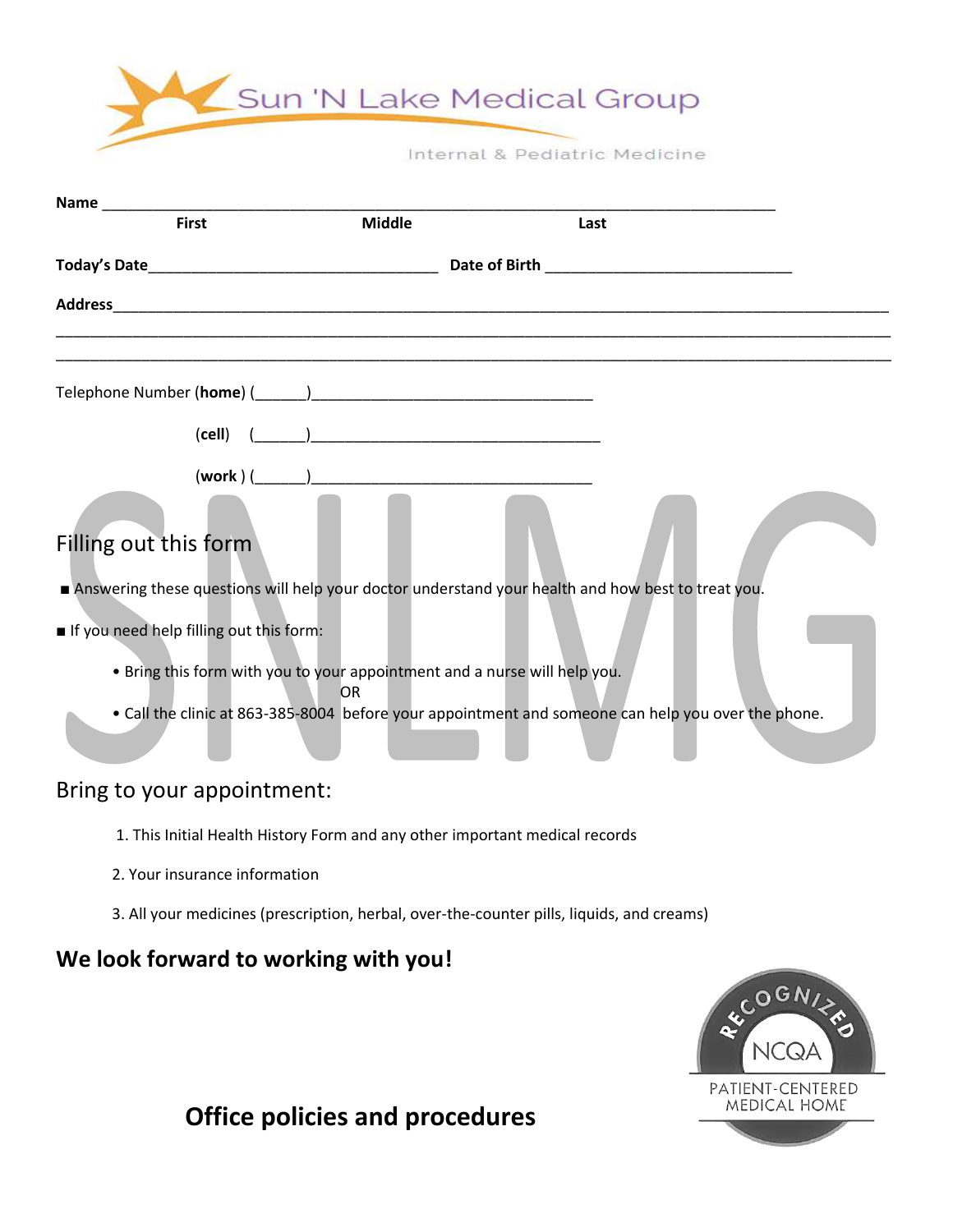

Internal & Pediatric Medicine

| <b>Name</b>                                                                                        |               |      |  |
|----------------------------------------------------------------------------------------------------|---------------|------|--|
| <b>First</b>                                                                                       | <b>Middle</b> | Last |  |
|                                                                                                    |               |      |  |
|                                                                                                    |               |      |  |
|                                                                                                    |               |      |  |
|                                                                                                    |               |      |  |
|                                                                                                    |               |      |  |
|                                                                                                    |               |      |  |
| Filling out this form                                                                              |               |      |  |
| Answering these questions will help your doctor understand your health and how best to treat you.  |               |      |  |
| If you need help filling out this form:                                                            |               |      |  |
| . Bring this form with you to your appointment and a nurse will help you.                          | OR            |      |  |
| • Call the clinic at 863-385-8004 before your appointment and someone can help you over the phone. |               |      |  |
| Bring to your appointment:                                                                         |               |      |  |
| 1. This Initial Health History Form and any other important medical records                        |               |      |  |

- 2. Your insurance information
- 3. All your medicines (prescription, herbal, over-the-counter pills, liquids, and creams)

#### **We look forward to working with you!**



# **Office policies and procedures**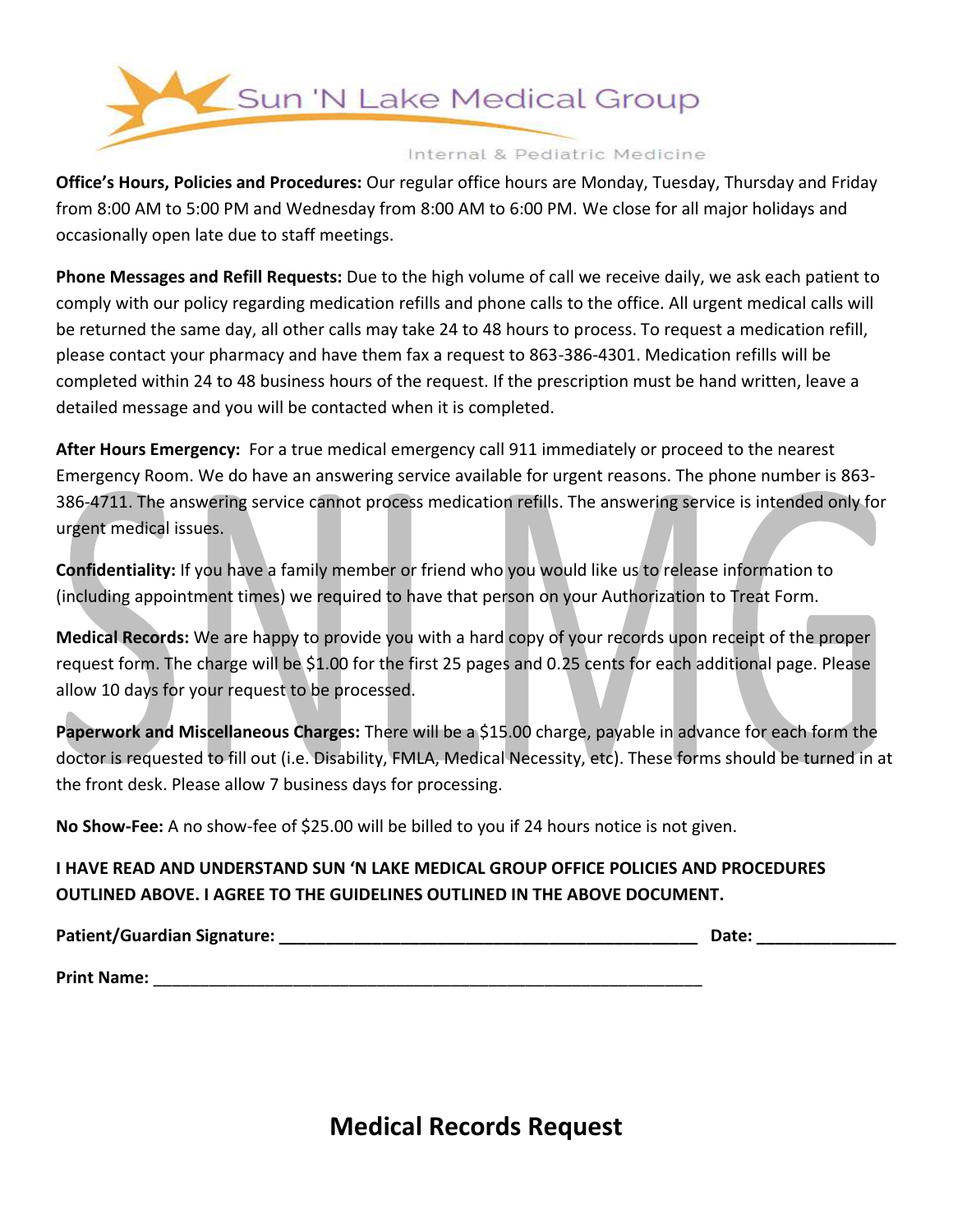

**Office's Hours, Policies and Procedures:** Our regular office hours are Monday, Tuesday, Thursday and Friday from 8:00 AM to 5:00 PM and Wednesday from 8:00 AM to 6:00 PM. We close for all major holidays and occasionally open late due to staff meetings.

**Phone Messages and Refill Requests:** Due to the high volume of call we receive daily, we ask each patient to comply with our policy regarding medication refills and phone calls to the office. All urgent medical calls will be returned the same day, all other calls may take 24 to 48 hours to process. To request a medication refill, please contact your pharmacy and have them fax a request to 863-386-4301. Medication refills will be completed within 24 to 48 business hours of the request. If the prescription must be hand written, leave a detailed message and you will be contacted when it is completed.

**After Hours Emergency:** For a true medical emergency call 911 immediately or proceed to the nearest Emergency Room. We do have an answering service available for urgent reasons. The phone number is 863- 386-4711. The answering service cannot process medication refills. The answering service is intended only for urgent medical issues.

**Confidentiality:** If you have a family member or friend who you would like us to release information to (including appointment times) we required to have that person on your Authorization to Treat Form.

**Medical Records:** We are happy to provide you with a hard copy of your records upon receipt of the proper request form. The charge will be \$1.00 for the first 25 pages and 0.25 cents for each additional page. Please allow 10 days for your request to be processed.

**Paperwork and Miscellaneous Charges:** There will be a \$15.00 charge, payable in advance for each form the doctor is requested to fill out (i.e. Disability, FMLA, Medical Necessity, etc). These forms should be turned in at the front desk. Please allow 7 business days for processing.

**No Show-Fee:** A no show-fee of \$25.00 will be billed to you if 24 hours notice is not given.

#### **I HAVE READ AND UNDERSTAND SUN 'N LAKE MEDICAL GROUP OFFICE POLICIES AND PROCEDURES OUTLINED ABOVE. I AGREE TO THE GUIDELINES OUTLINED IN THE ABOVE DOCUMENT.**

Patient/Guardian Signature: **We are also assigned to the contract of the contract of the contract of the contract of the contract of the contract of the contract of the contract of the contract of the contract of the contr** 

**Print Name:** \_\_\_\_\_\_\_\_\_\_\_\_\_\_\_\_\_\_\_\_\_\_\_\_\_\_\_\_\_\_\_\_\_\_\_\_\_\_\_\_\_\_\_\_\_\_\_\_\_\_\_\_\_\_\_\_\_\_\_

**Medical Records Request**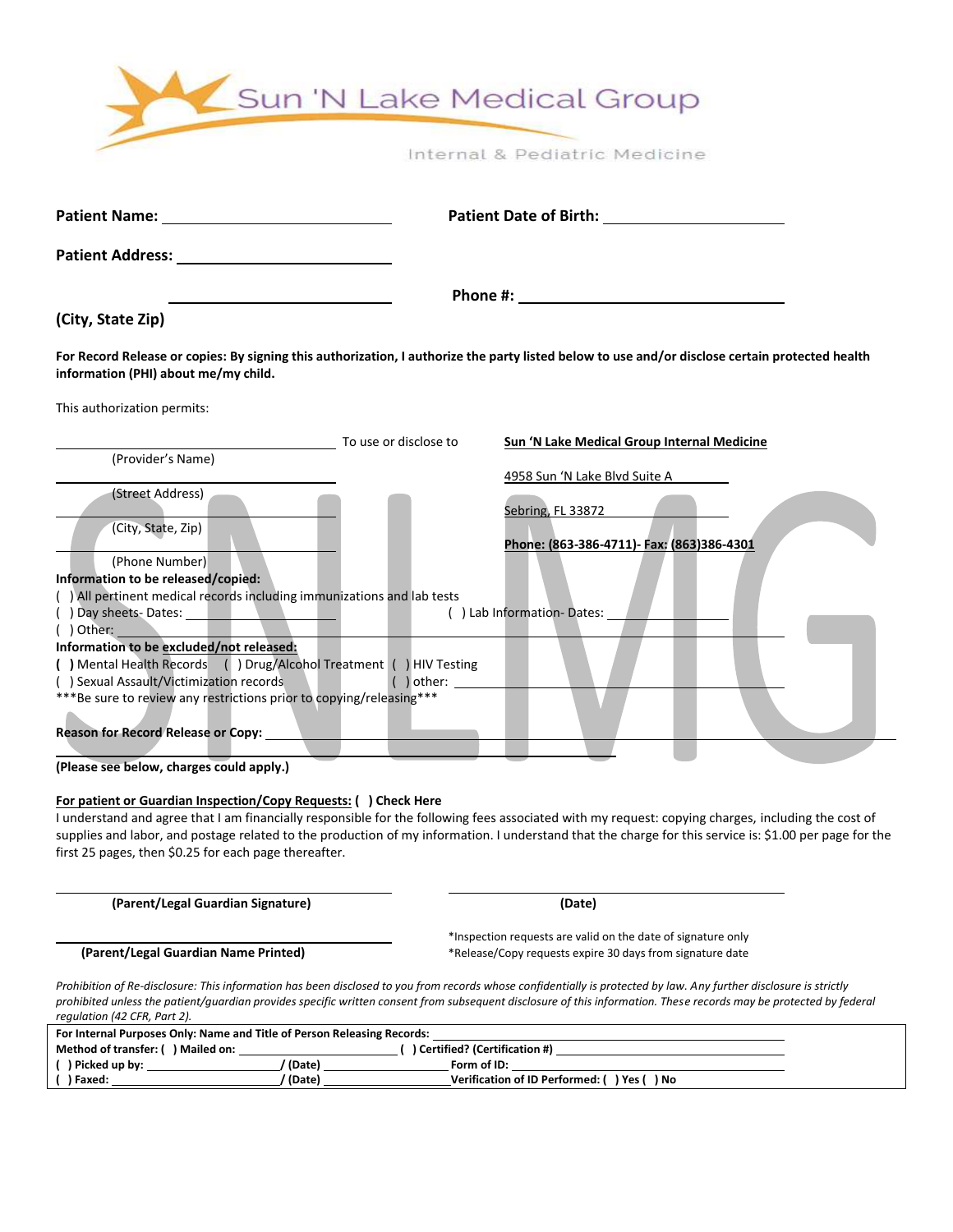

**Patient Name: Patient Date of Birth: Patient Address: Phone #:** 

**(City, State Zip)** 

**For Record Release or copies: By signing this authorization, I authorize the party listed below to use and/or disclose certain protected health information (PHI) about me/my child.** 

This authorization permits:

|                                                                        | To use or disclose to | Sun 'N Lake Medical Group Internal Medicine |
|------------------------------------------------------------------------|-----------------------|---------------------------------------------|
| (Provider's Name)                                                      |                       |                                             |
|                                                                        |                       | 4958 Sun 'N Lake Blvd Suite A               |
| (Street Address)                                                       |                       |                                             |
|                                                                        |                       | Sebring, FL 33872                           |
| (City, State, Zip)                                                     |                       |                                             |
|                                                                        |                       | Phone: (863-386-4711)- Fax: (863)386-4301   |
| (Phone Number)                                                         |                       |                                             |
| Information to be released/copied:                                     |                       |                                             |
| () All pertinent medical records including immunizations and lab tests |                       |                                             |
| ) Day sheets- Dates:                                                   |                       | Lab Information-Dates:                      |
| ) Other:                                                               |                       |                                             |
| Information to be excluded/not released:                               |                       |                                             |
| () Mental Health Records () Drug/Alcohol Treatment () HIV Testing      |                       |                                             |
| () Sexual Assault/Victimization records                                | other:                |                                             |
| ***Be sure to review any restrictions prior to copying/releasing***    |                       |                                             |
|                                                                        |                       |                                             |
| <b>Reason for Record Release or Copy:</b>                              |                       |                                             |
|                                                                        |                       |                                             |
| (Please see below, charges could apply.)                               |                       |                                             |

#### **For patient or Guardian Inspection/Copy Requests: ( ) Check Here**

I understand and agree that I am financially responsible for the following fees associated with my request: copying charges, including the cost of supplies and labor, and postage related to the production of my information. I understand that the charge for this service is: \$1.00 per page for the first 25 pages, then \$0.25 for each page thereafter.

**(Parent/Legal Guardian Signature) (Date)** 

l

 \*Inspection requests are valid on the date of signature only  **(Parent/Legal Guardian Name Printed)** \*Release/Copy requests expire 30 days from signature date

*Prohibition of Re-disclosure: This information has been disclosed to you from records whose confidentially is protected by law. Any further disclosure is strictly prohibited unless the patient/guardian provides specific written consent from subsequent disclosure of this information. These records may be protected by federal regulation (42 CFR, Part 2).* 

| For Internal Purposes Only: Name and Title of Person Releasing Records: |        |                                            |  |
|-------------------------------------------------------------------------|--------|--------------------------------------------|--|
| Method of transfer: () Mailed on:                                       |        | ) Certified? (Certification #)             |  |
| () Picked up by:                                                        | (Date) | Form of ID:                                |  |
| ) Faxed:                                                                | (Date) | Verification of ID Performed: () Yes () No |  |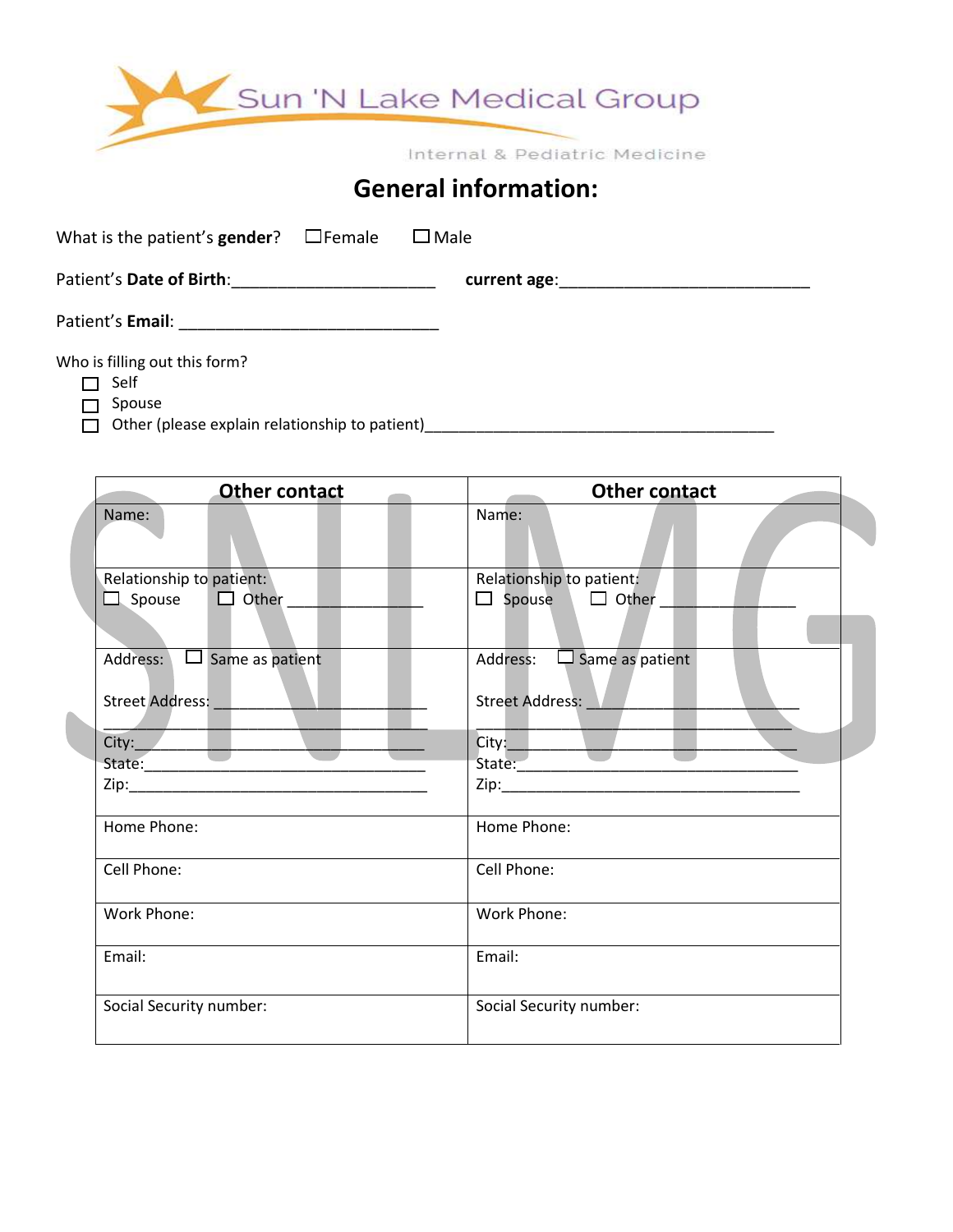

#### **General information:**

| What is the patient's <b>gender</b> ? $\Box$ Female |                                                    | $\square$ Male                         |
|-----------------------------------------------------|----------------------------------------------------|----------------------------------------|
| Patient's Date of Birth:                            | <u> 1980 - John Stein, Amerikaansk politiker (</u> | current age: <u>__________________</u> |
|                                                     |                                                    |                                        |
| Who is filling out this form?<br>Self<br>Spouse     |                                                    |                                        |

Other (please explain relationship to patient)\_\_\_\_\_\_\_\_\_\_\_\_\_\_\_\_\_\_\_\_\_\_\_\_\_\_\_\_\_\_\_\_\_\_\_

| <b>Other contact</b>                                          | <b>Other contact</b>                                      |
|---------------------------------------------------------------|-----------------------------------------------------------|
| Name:                                                         | Name:                                                     |
| Relationship to patient:<br>$\Box$ Spouse $\Box$ Other $\Box$ | Relationship to patient:<br>Spouse $\Box$ Other<br>$\Box$ |
|                                                               |                                                           |
|                                                               | Address: $\Box$ Same as patient                           |
| Street Address: 11 2022                                       | Street Address:                                           |
|                                                               | City:                                                     |
|                                                               | State:                                                    |
|                                                               |                                                           |
| Home Phone:                                                   | Home Phone:                                               |
| Cell Phone:                                                   | Cell Phone:                                               |
| Work Phone:                                                   | Work Phone:                                               |
| Email:                                                        | Email:                                                    |
| Social Security number:                                       | Social Security number:                                   |
|                                                               | $\Box$ Same as patient<br>Address:                        |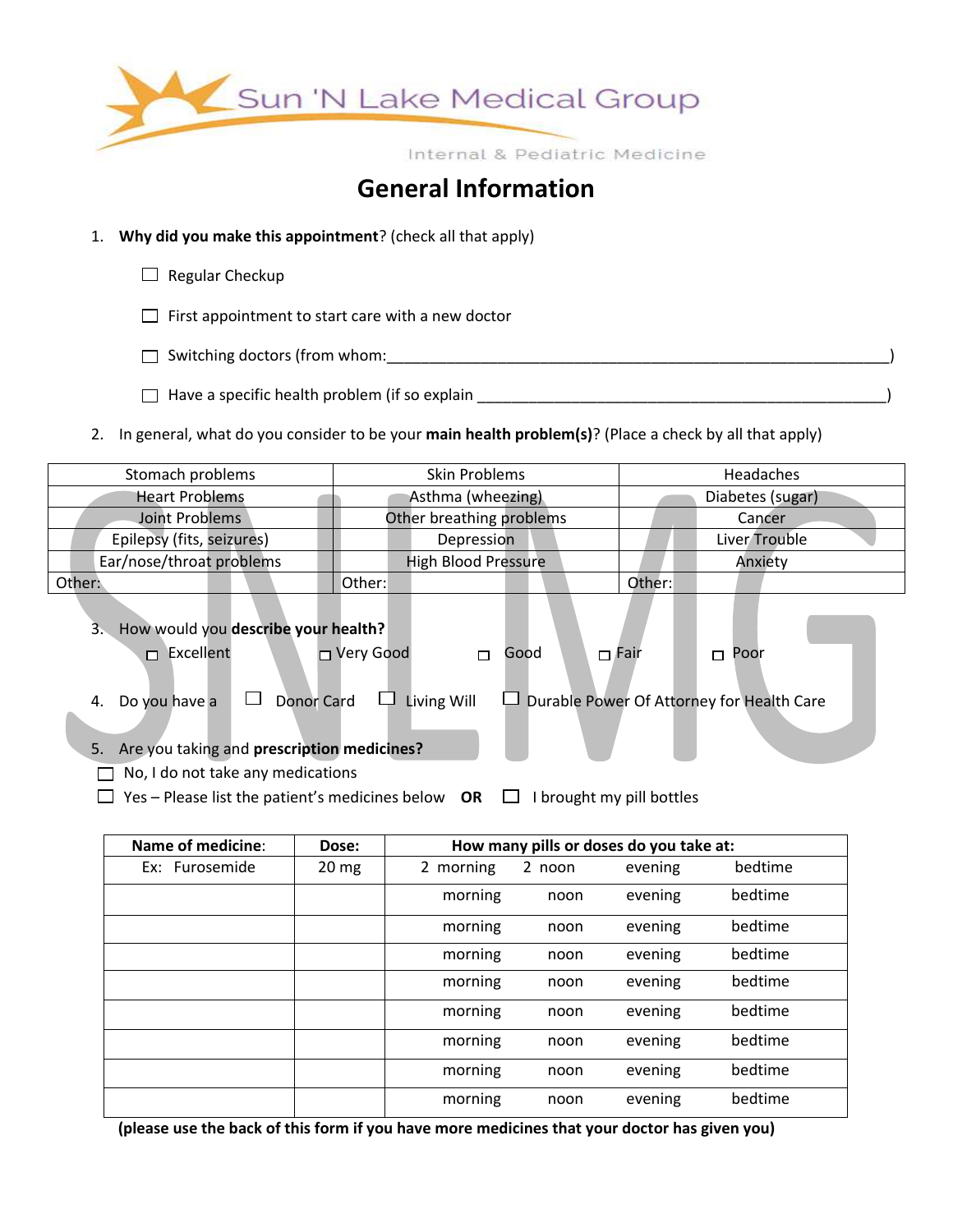

# **General Information**

- 1. **Why did you make this appointment**? (check all that apply)
	- $\Box$  Regular Checkup

 $\Box$  First appointment to start care with a new doctor

Switching doctors (from whom:\_\_\_\_\_\_\_\_\_\_\_\_\_\_\_\_\_\_\_\_\_\_\_\_\_\_\_\_\_\_\_\_\_\_\_\_\_\_\_\_\_\_\_\_\_\_\_\_\_\_\_\_\_\_\_\_\_\_\_)

- $\Box$  Have a specific health problem (if so explain
- 2. In general, what do you consider to be your **main health problem(s)**? (Place a check by all that apply)

| Stomach problems                                                                                                                      |                                  | <b>Skin Problems</b>       |                                         |                           | Headaches                                                   |  |
|---------------------------------------------------------------------------------------------------------------------------------------|----------------------------------|----------------------------|-----------------------------------------|---------------------------|-------------------------------------------------------------|--|
| <b>Heart Problems</b>                                                                                                                 |                                  | Asthma (wheezing)          |                                         |                           | Diabetes (sugar)                                            |  |
| <b>Joint Problems</b>                                                                                                                 |                                  | Other breathing problems   |                                         |                           | Cancer                                                      |  |
| Epilepsy (fits, seizures)                                                                                                             |                                  | Depression                 |                                         |                           | Liver Trouble                                               |  |
| Ear/nose/throat problems                                                                                                              |                                  | <b>High Blood Pressure</b> |                                         |                           | Anxiety                                                     |  |
| Other:                                                                                                                                | Other:                           |                            |                                         | Other:                    |                                                             |  |
| 3. How would you describe your health?<br>$\Box$ Excellent<br>Do you have a<br>4.<br>Are you taking and prescription medicines?<br>5. | □ Very Good<br><b>Donor Card</b> | □<br>Living Will<br>ப      | Good                                    | $\Box$ Fair               | Poor<br>$\Box$<br>Durable Power Of Attorney for Health Care |  |
| No, I do not take any medications<br>Yes - Please list the patient's medicines below $OR \square$                                     |                                  |                            |                                         | I brought my pill bottles |                                                             |  |
| Name of medicine:                                                                                                                     | Dose:                            |                            | How many pills or doses do you take at: |                           |                                                             |  |
| Ex: Furosemide                                                                                                                        | 20 <sub>mg</sub>                 | 2 morning                  | 2 noon                                  | evening                   | bedtime                                                     |  |
|                                                                                                                                       |                                  | morning                    | noon                                    | evening                   | bedtime                                                     |  |
|                                                                                                                                       |                                  | morning                    | noon                                    | evening                   | bedtime                                                     |  |
|                                                                                                                                       |                                  | morning                    | noon                                    | evening                   | bedtime                                                     |  |
|                                                                                                                                       |                                  | morning                    | noon                                    | evening                   | bedtime                                                     |  |
|                                                                                                                                       |                                  | morning                    | noon                                    | evening                   | bedtime                                                     |  |
|                                                                                                                                       |                                  | morning                    | noon                                    | evening                   | bedtime                                                     |  |
|                                                                                                                                       |                                  | morning                    | noon                                    | evening                   | bedtime                                                     |  |

 **(please use the back of this form if you have more medicines that your doctor has given you)**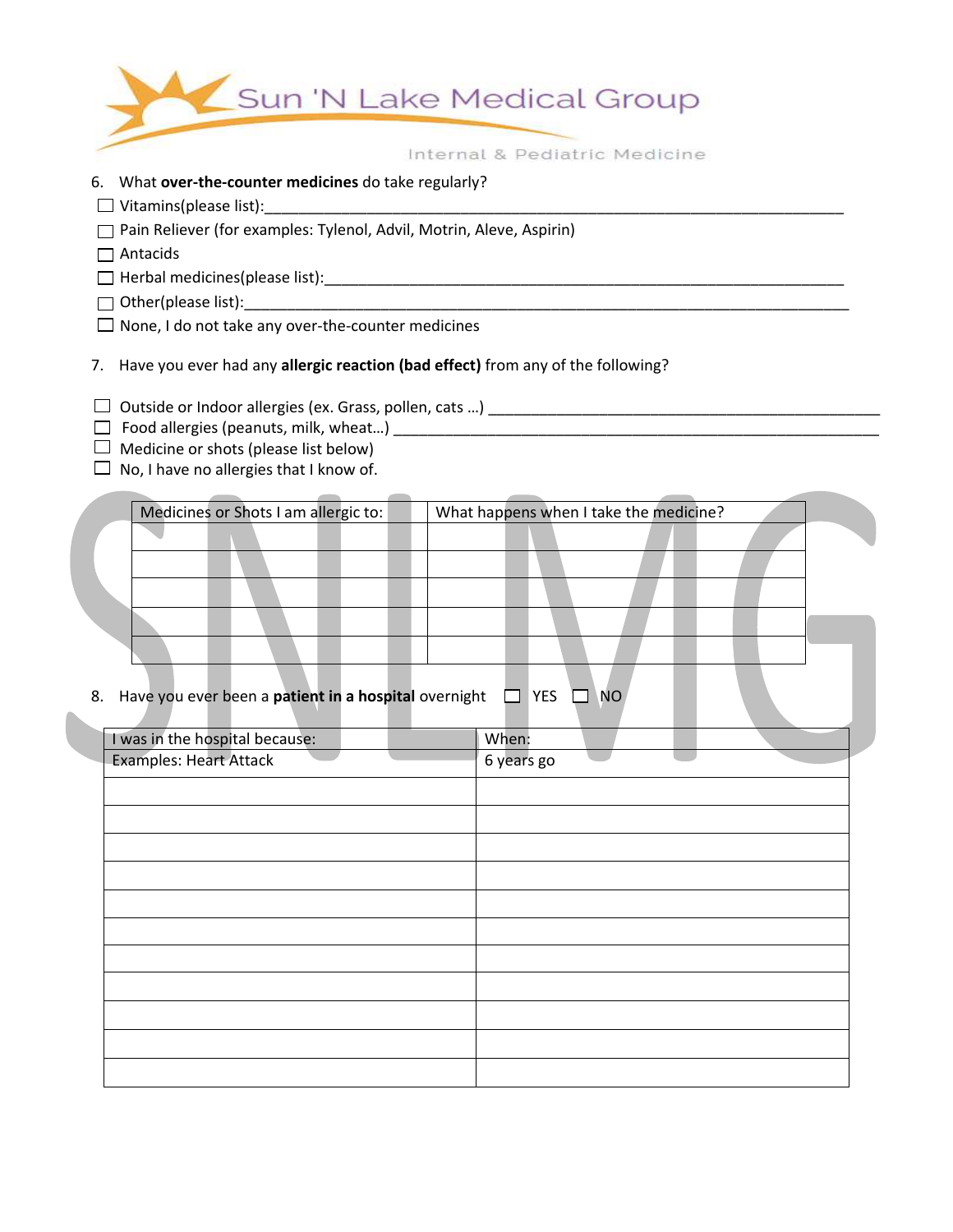| Sun 'N Lake Medical Group     |
|-------------------------------|
|                               |
| Internal & Pediatric Medicine |

#### 6. What **over-the-counter medicines** do take regularly?

- $\Box$  Vitamins(please list):
- Pain Reliever (for examples: Tylenol, Advil, Motrin, Aleve, Aspirin)
- □ Antacids
- Herbal medicines(please list):\_\_\_\_\_\_\_\_\_\_\_\_\_\_\_\_\_\_\_\_\_\_\_\_\_\_\_\_\_\_\_\_\_\_\_\_\_\_\_\_\_\_\_\_\_\_\_\_\_\_\_\_\_\_\_\_\_\_\_\_\_
- $\Box$  Other(please list):
- $\Box$  None, I do not take any over-the-counter medicines
- 7. Have you ever had any **allergic reaction (bad effect)** from any of the following?
- Outside or Indoor allergies (ex. Grass, pollen, cats …) \_\_\_\_\_\_\_\_\_\_\_\_\_\_\_\_\_\_\_\_\_\_\_\_\_\_\_\_\_\_\_\_\_\_\_\_\_\_\_\_\_\_\_\_\_\_
- Food allergies (peanuts, milk, wheat…) \_\_\_\_\_\_\_\_\_\_\_\_\_\_\_\_\_\_\_\_\_\_\_\_\_\_\_\_\_\_\_\_\_\_\_\_\_\_\_\_\_\_\_\_\_\_\_\_\_\_\_\_\_\_\_\_\_
- $\Box$  Medicine or shots (please list below)
- $\Box$  No, I have no allergies that I know of.

| Medicines or Shots I am allergic to:                    | What happens when I take the medicine? |
|---------------------------------------------------------|----------------------------------------|
|                                                         |                                        |
|                                                         |                                        |
|                                                         |                                        |
|                                                         |                                        |
|                                                         |                                        |
|                                                         |                                        |
|                                                         |                                        |
|                                                         |                                        |
|                                                         |                                        |
| 8. Have you ever been a patient in a hospital overnight | $\Box$ YES<br><b>NO</b>                |
|                                                         |                                        |
| I was in the hospital because:                          | When:                                  |
| Examples: Heart Attack                                  | 6 years go                             |
|                                                         |                                        |
|                                                         |                                        |
|                                                         |                                        |
|                                                         |                                        |
|                                                         |                                        |
|                                                         |                                        |
|                                                         |                                        |
|                                                         |                                        |
|                                                         |                                        |
|                                                         |                                        |
|                                                         |                                        |
|                                                         |                                        |
|                                                         |                                        |
|                                                         |                                        |
|                                                         |                                        |
|                                                         |                                        |
|                                                         |                                        |
|                                                         |                                        |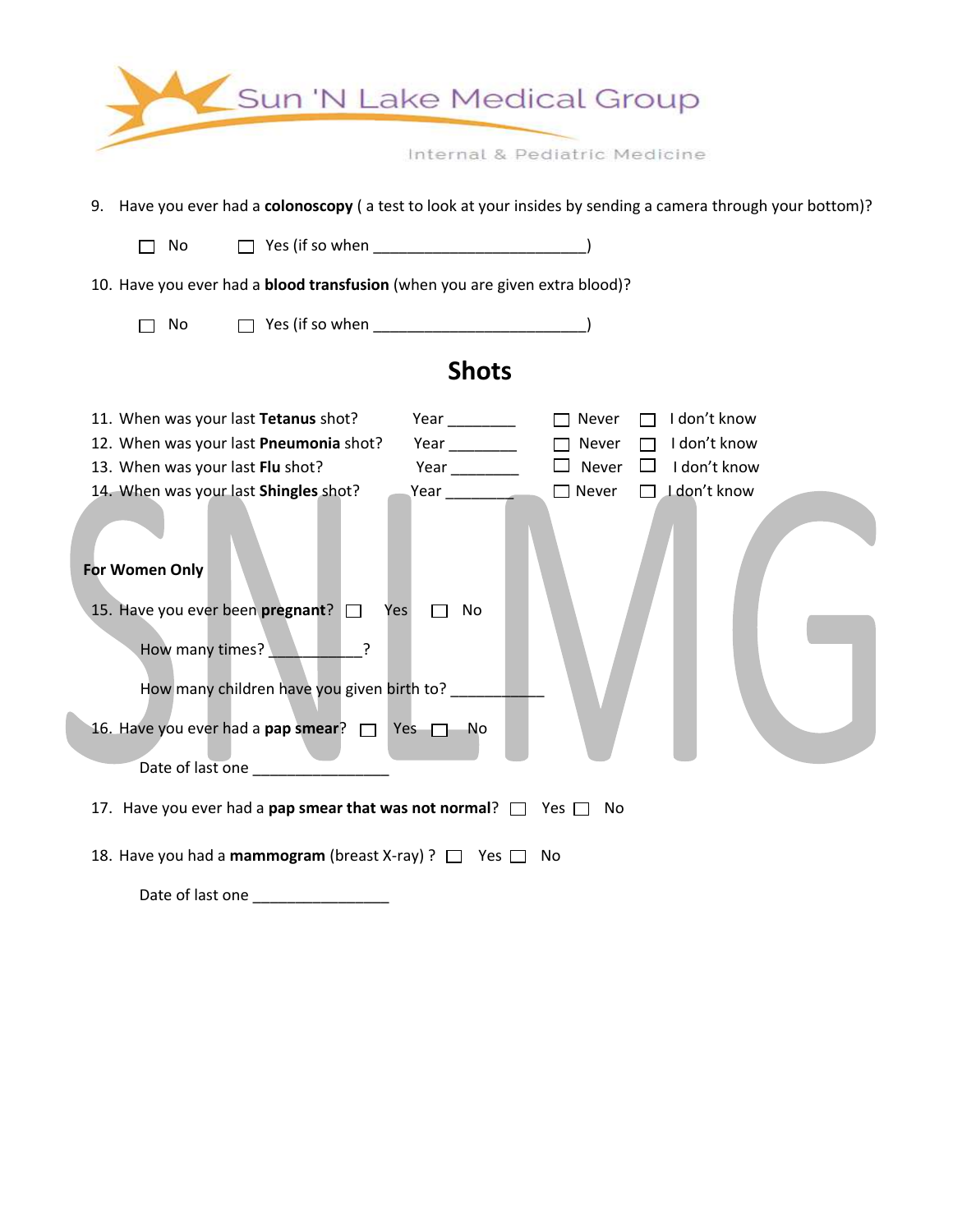| Sun 'N Lake Medical Group                                                                                                                                                                                                                                                                                                                                                                                                                                                                                                                                                                                           |
|---------------------------------------------------------------------------------------------------------------------------------------------------------------------------------------------------------------------------------------------------------------------------------------------------------------------------------------------------------------------------------------------------------------------------------------------------------------------------------------------------------------------------------------------------------------------------------------------------------------------|
| Internal & Pediatric Medicine                                                                                                                                                                                                                                                                                                                                                                                                                                                                                                                                                                                       |
| 9. Have you ever had a colonoscopy (a test to look at your insides by sending a camera through your bottom)?                                                                                                                                                                                                                                                                                                                                                                                                                                                                                                        |
| No                                                                                                                                                                                                                                                                                                                                                                                                                                                                                                                                                                                                                  |
| 10. Have you ever had a <b>blood transfusion</b> (when you are given extra blood)?                                                                                                                                                                                                                                                                                                                                                                                                                                                                                                                                  |
| No                                                                                                                                                                                                                                                                                                                                                                                                                                                                                                                                                                                                                  |
| <b>Shots</b>                                                                                                                                                                                                                                                                                                                                                                                                                                                                                                                                                                                                        |
|                                                                                                                                                                                                                                                                                                                                                                                                                                                                                                                                                                                                                     |
| I don't know<br>11. When was your last Tetanus shot?<br>Year $\frac{1}{2}$<br>$\Box$ Never<br>12. When was your last Pneumonia shot?<br>Year $\frac{1}{2}$<br>I don't know<br>$\Box$ Never<br>13. When was your last Flu shot?<br>Year Letter Management Controllering and the Control of the Control of the Control of the Control of the Control of the Control of the Control of the Control of the Control of the Control of the Control of the Control of t<br>$\Box$ Never<br>I don't know<br>14. When was your last Shingles shot?<br>I don't know<br>$\Box$ Never<br>Year $\qquad \qquad$<br>For Women Only |
| 15. Have you ever been pregnant?<br>Yes<br>No<br>How many times?<br>How many children have you given birth to?                                                                                                                                                                                                                                                                                                                                                                                                                                                                                                      |
| 16. Have you ever had a pap smear? $\Box$<br>Yes $\Box$<br>No.                                                                                                                                                                                                                                                                                                                                                                                                                                                                                                                                                      |
| 17. Have you ever had a pap smear that was not normal?<br>Pes a                                                                                                                                                                                                                                                                                                                                                                                                                                                                                                                                                     |
| 18. Have you had a mammogram (breast X-ray) ? $\Box$ Yes $\Box$ No                                                                                                                                                                                                                                                                                                                                                                                                                                                                                                                                                  |
| Date of last one ____________________                                                                                                                                                                                                                                                                                                                                                                                                                                                                                                                                                                               |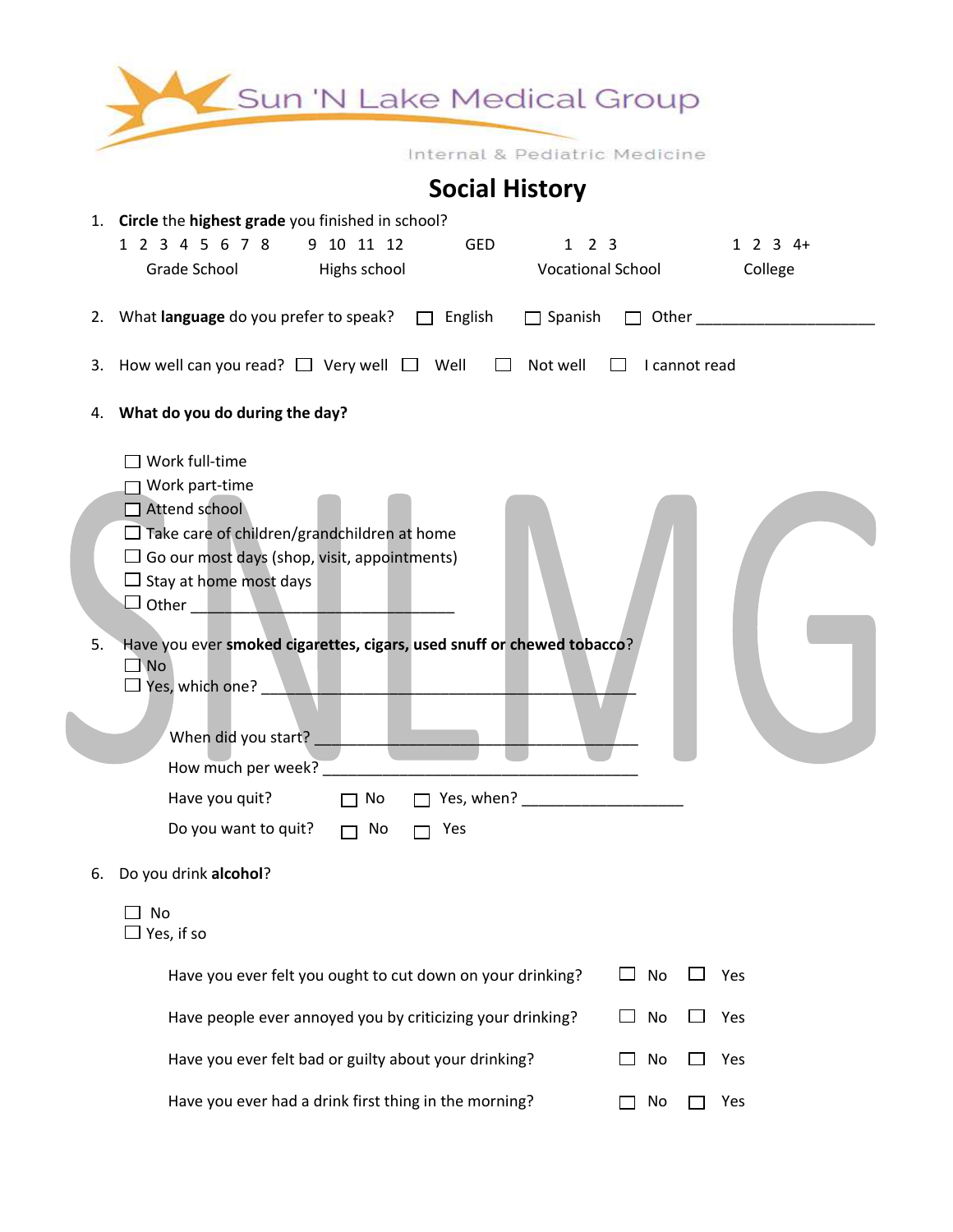| Sun 'N Lake Medical Group                                                                                                                                                                                                                                                                                                                                                                                                                                                                     |                                |                             |
|-----------------------------------------------------------------------------------------------------------------------------------------------------------------------------------------------------------------------------------------------------------------------------------------------------------------------------------------------------------------------------------------------------------------------------------------------------------------------------------------------|--------------------------------|-----------------------------|
| Internal & Pediatric Medicine                                                                                                                                                                                                                                                                                                                                                                                                                                                                 |                                |                             |
| <b>Social History</b>                                                                                                                                                                                                                                                                                                                                                                                                                                                                         |                                |                             |
| 1. Circle the highest grade you finished in school?<br>1 2 3 4 5 6 7 8<br>9 10 11 12<br>GED<br>$1\quad2\quad3$<br>Grade School Highs school                                                                                                                                                                                                                                                                                                                                                   | <b>Vocational School</b>       | $1 \t2 \t3 \t4+$<br>College |
| What <b>language</b> do you prefer to speak? $\Box$ English<br>$\Box$ Spanish<br>2.                                                                                                                                                                                                                                                                                                                                                                                                           |                                | $\Box$ Other $\Box$         |
| How well can you read? $\Box$ Very well $\Box$ Well<br>$\Box$<br>Not well<br>3.                                                                                                                                                                                                                                                                                                                                                                                                               | I cannot read<br>$\mathcal{L}$ |                             |
| What do you do during the day?<br>4.                                                                                                                                                                                                                                                                                                                                                                                                                                                          |                                |                             |
| Work full-time<br>Work part-time<br>Attend school<br>$\Box$ Take care of children/grandchildren at home<br>$\Box$ Go our most days (shop, visit, appointments)<br>$\Box$ Stay at home most days<br>$\Box$ Other $\Box$<br>Have you ever smoked cigarettes, cigars, used snuff or chewed tobacco?<br>5.<br>$\square$ No<br>$\Box$ Yes, which one? $\Box$<br>When did you start?<br>How much per week?<br>Have you quit?<br>Yes, when? $\frac{1}{2}$<br>No<br>Do you want to quit?<br>No<br>Yes |                                |                             |
| Do you drink alcohol?<br>6.                                                                                                                                                                                                                                                                                                                                                                                                                                                                   |                                |                             |
| No<br>$\Box$ Yes, if so                                                                                                                                                                                                                                                                                                                                                                                                                                                                       |                                |                             |
| Have you ever felt you ought to cut down on your drinking?                                                                                                                                                                                                                                                                                                                                                                                                                                    | No                             | Yes                         |
| Have people ever annoyed you by criticizing your drinking?                                                                                                                                                                                                                                                                                                                                                                                                                                    | No                             | Yes                         |
| Have you ever felt bad or guilty about your drinking?                                                                                                                                                                                                                                                                                                                                                                                                                                         | No                             | Yes                         |
| Have you ever had a drink first thing in the morning?                                                                                                                                                                                                                                                                                                                                                                                                                                         | No                             | Yes                         |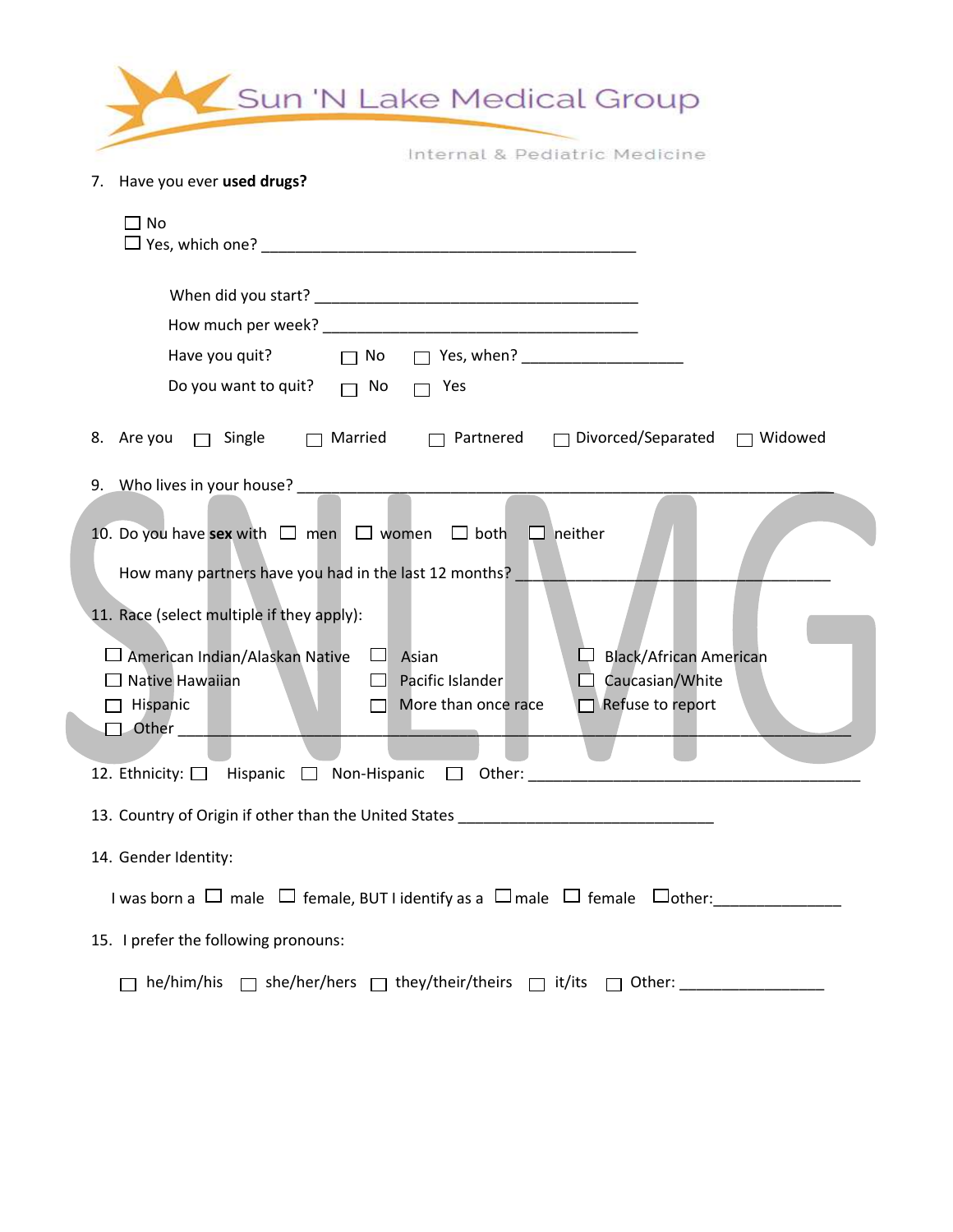| Sun 'N Lake Medical Group                                                                                                                                                                                                                                                                                                                                                                                           |
|---------------------------------------------------------------------------------------------------------------------------------------------------------------------------------------------------------------------------------------------------------------------------------------------------------------------------------------------------------------------------------------------------------------------|
| Internal & Pediatric Medicine                                                                                                                                                                                                                                                                                                                                                                                       |
| 7. Have you ever used drugs?                                                                                                                                                                                                                                                                                                                                                                                        |
| $\square$ No                                                                                                                                                                                                                                                                                                                                                                                                        |
|                                                                                                                                                                                                                                                                                                                                                                                                                     |
|                                                                                                                                                                                                                                                                                                                                                                                                                     |
| Do you want to quit? $\Box$ No $\Box$ Yes                                                                                                                                                                                                                                                                                                                                                                           |
| $\Box$ Partnered $\Box$ Divorced/Separated $\Box$ Widowed<br>8. Are you □ Single □ Married                                                                                                                                                                                                                                                                                                                          |
| 10. Do you have sex with $\Box$ men $\Box$ women $\Box$ both $\Box$ neither<br>How many partners have you had in the last 12 months?<br>11. Race (select multiple if they apply):<br>$\exists$ American Indian/Alaskan Native $\Box$ Asian<br><b>Black/African American</b><br>Native Hawaiian<br>$\Box$ Pacific Islander<br>Caucasian/White<br>$\Box$ More than once race<br>$\Box$ Refuse to report<br>J Hispanic |
| Other                                                                                                                                                                                                                                                                                                                                                                                                               |
| 13. Country of Origin if other than the United States __________________________                                                                                                                                                                                                                                                                                                                                    |
| 14. Gender Identity:                                                                                                                                                                                                                                                                                                                                                                                                |
|                                                                                                                                                                                                                                                                                                                                                                                                                     |
| 15. I prefer the following pronouns:                                                                                                                                                                                                                                                                                                                                                                                |
|                                                                                                                                                                                                                                                                                                                                                                                                                     |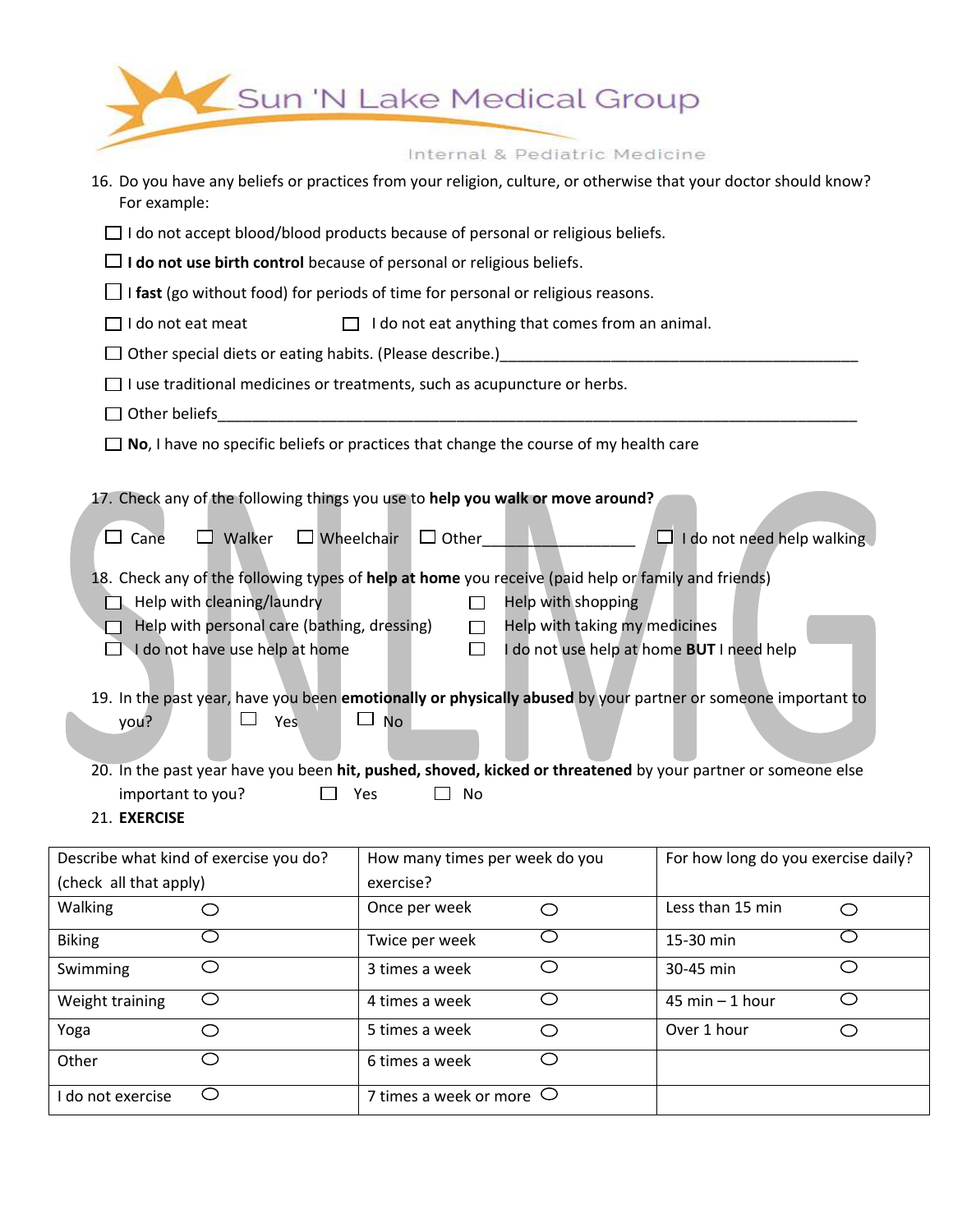|                                                                                                                                                                                                                                                                                                                                                                                                                                                                                                                                                                                                                                                                                                                                                                                                                                                                                           | Sun 'N Lake Medical Group                                                                                                |                               |  |  |
|-------------------------------------------------------------------------------------------------------------------------------------------------------------------------------------------------------------------------------------------------------------------------------------------------------------------------------------------------------------------------------------------------------------------------------------------------------------------------------------------------------------------------------------------------------------------------------------------------------------------------------------------------------------------------------------------------------------------------------------------------------------------------------------------------------------------------------------------------------------------------------------------|--------------------------------------------------------------------------------------------------------------------------|-------------------------------|--|--|
|                                                                                                                                                                                                                                                                                                                                                                                                                                                                                                                                                                                                                                                                                                                                                                                                                                                                                           | Internal & Pediatric Medicine                                                                                            |                               |  |  |
| 16. Do you have any beliefs or practices from your religion, culture, or otherwise that your doctor should know?<br>For example:                                                                                                                                                                                                                                                                                                                                                                                                                                                                                                                                                                                                                                                                                                                                                          |                                                                                                                          |                               |  |  |
|                                                                                                                                                                                                                                                                                                                                                                                                                                                                                                                                                                                                                                                                                                                                                                                                                                                                                           | $\Box$ I do not accept blood/blood products because of personal or religious beliefs.                                    |                               |  |  |
| $\Box$ <b>I do not use birth control</b> because of personal or religious beliefs.                                                                                                                                                                                                                                                                                                                                                                                                                                                                                                                                                                                                                                                                                                                                                                                                        |                                                                                                                          |                               |  |  |
|                                                                                                                                                                                                                                                                                                                                                                                                                                                                                                                                                                                                                                                                                                                                                                                                                                                                                           | $\Box$ I fast (go without food) for periods of time for personal or religious reasons.                                   |                               |  |  |
| $\Box$ I do not eat meat                                                                                                                                                                                                                                                                                                                                                                                                                                                                                                                                                                                                                                                                                                                                                                                                                                                                  | $\Box$ I do not eat anything that comes from an animal.                                                                  |                               |  |  |
|                                                                                                                                                                                                                                                                                                                                                                                                                                                                                                                                                                                                                                                                                                                                                                                                                                                                                           | □ Other special diets or eating habits. (Please describe.)<br>□ Other special diets or eating habits. (Please describe.) |                               |  |  |
|                                                                                                                                                                                                                                                                                                                                                                                                                                                                                                                                                                                                                                                                                                                                                                                                                                                                                           | $\Box$ I use traditional medicines or treatments, such as acupuncture or herbs.                                          |                               |  |  |
| $\Box$ Other beliefs                                                                                                                                                                                                                                                                                                                                                                                                                                                                                                                                                                                                                                                                                                                                                                                                                                                                      |                                                                                                                          |                               |  |  |
|                                                                                                                                                                                                                                                                                                                                                                                                                                                                                                                                                                                                                                                                                                                                                                                                                                                                                           | $\Box$ No, I have no specific beliefs or practices that change the course of my health care                              |                               |  |  |
| $\Box$ Walker $\Box$ Wheelchair $\Box$ Other<br>$\Box$ I do not need help walking<br>$\Box$ Cane<br>18. Check any of the following types of help at home you receive (paid help or family and friends)<br>Help with cleaning/laundry<br>Help with shopping<br>$\perp$<br>Help with personal care (bathing, dressing)<br>Help with taking my medicines<br>$\Box$<br>$\Box$ I do not have use help at home<br>$\Box$<br>I do not use help at home BUT I need help<br>19. In the past year, have you been emotionally or physically abused by your partner or someone important to<br>No<br>Yes<br>you?<br>20. In the past year have you been hit, pushed, shoved, kicked or threatened by your partner or someone else<br>important to you?<br>Yes<br>No<br>21. EXERCISE<br>Describe what kind of exercise you do?<br>How many times per week do you<br>For how long do you exercise daily? |                                                                                                                          |                               |  |  |
| (check all that apply)                                                                                                                                                                                                                                                                                                                                                                                                                                                                                                                                                                                                                                                                                                                                                                                                                                                                    | exercise?                                                                                                                |                               |  |  |
| Walking<br>O                                                                                                                                                                                                                                                                                                                                                                                                                                                                                                                                                                                                                                                                                                                                                                                                                                                                              | Once per week<br>$\circ$                                                                                                 | Less than 15 min<br>$\circ$   |  |  |
| O<br><b>Biking</b>                                                                                                                                                                                                                                                                                                                                                                                                                                                                                                                                                                                                                                                                                                                                                                                                                                                                        | O<br>Twice per week                                                                                                      | O<br>15-30 min                |  |  |
| $\bigcirc$<br>Swimming                                                                                                                                                                                                                                                                                                                                                                                                                                                                                                                                                                                                                                                                                                                                                                                                                                                                    | $\circ$<br>3 times a week                                                                                                | $\circ$<br>30-45 min          |  |  |
| $\bigcirc$<br>Weight training                                                                                                                                                                                                                                                                                                                                                                                                                                                                                                                                                                                                                                                                                                                                                                                                                                                             | $\circ$<br>4 times a week                                                                                                | $\circ$<br>$45$ min $-1$ hour |  |  |
| Yoga<br>$\circlearrowright$                                                                                                                                                                                                                                                                                                                                                                                                                                                                                                                                                                                                                                                                                                                                                                                                                                                               | 5 times a week<br>$\circ$                                                                                                | Over 1 hour<br>$\circ$        |  |  |
| $\bigcirc$<br>Other                                                                                                                                                                                                                                                                                                                                                                                                                                                                                                                                                                                                                                                                                                                                                                                                                                                                       | $\bigcirc$<br>6 times a week                                                                                             |                               |  |  |
| $\circ$<br>I do not exercise                                                                                                                                                                                                                                                                                                                                                                                                                                                                                                                                                                                                                                                                                                                                                                                                                                                              | 7 times a week or more $\,\bigcirc\,$                                                                                    |                               |  |  |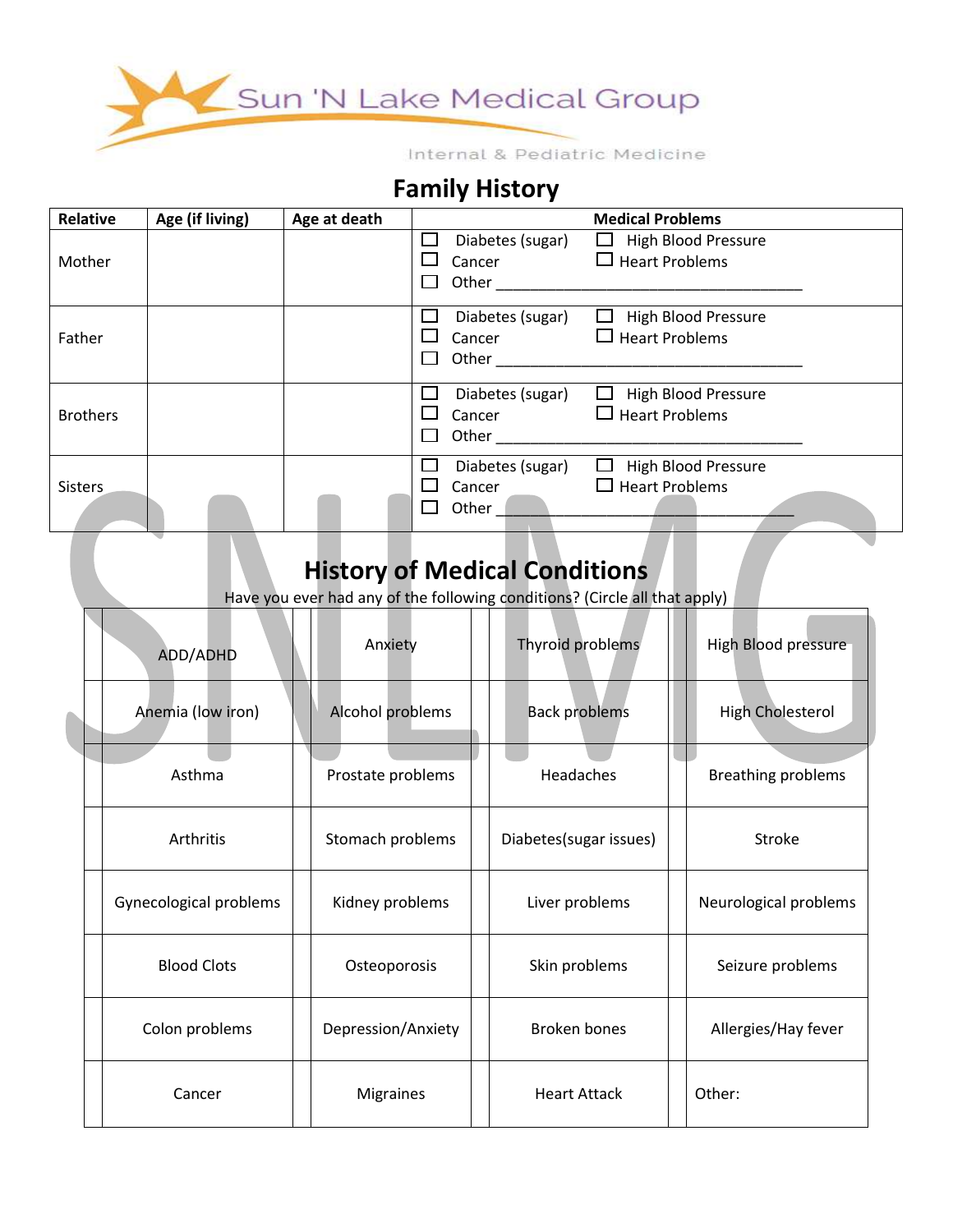

# **Family History**

| Relative        | Age (if living) | Age at death |                                     | <b>Medical Problems</b>                             |
|-----------------|-----------------|--------------|-------------------------------------|-----------------------------------------------------|
| Mother          |                 |              | Diabetes (sugar)<br>Cancer<br>Other | <b>High Blood Pressure</b><br>$\Box$ Heart Problems |
| Father          |                 |              | Diabetes (sugar)<br>Cancer<br>Other | <b>High Blood Pressure</b><br><b>Heart Problems</b> |
| <b>Brothers</b> |                 |              | Diabetes (sugar)<br>Cancer<br>Other | <b>High Blood Pressure</b><br>$\Box$ Heart Problems |
| <b>Sisters</b>  |                 |              | Diabetes (sugar)<br>Cancer<br>Other | <b>High Blood Pressure</b><br><b>Heart Problems</b> |

# **History of Medical Conditions**

Have you ever had any of the following conditions? (Circle all that apply)

| ADD/ADHD               | Anxiety            | Thyroid problems       | High Blood pressure       |
|------------------------|--------------------|------------------------|---------------------------|
| Anemia (low iron)      | Alcohol problems   | <b>Back problems</b>   | <b>High Cholesterol</b>   |
| Asthma                 | Prostate problems  | Headaches              | <b>Breathing problems</b> |
| <b>Arthritis</b>       | Stomach problems   | Diabetes(sugar issues) | <b>Stroke</b>             |
| Gynecological problems | Kidney problems    | Liver problems         | Neurological problems     |
| <b>Blood Clots</b>     | Osteoporosis       | Skin problems          | Seizure problems          |
| Colon problems         | Depression/Anxiety | <b>Broken bones</b>    | Allergies/Hay fever       |
| Cancer                 | <b>Migraines</b>   | <b>Heart Attack</b>    | Other:                    |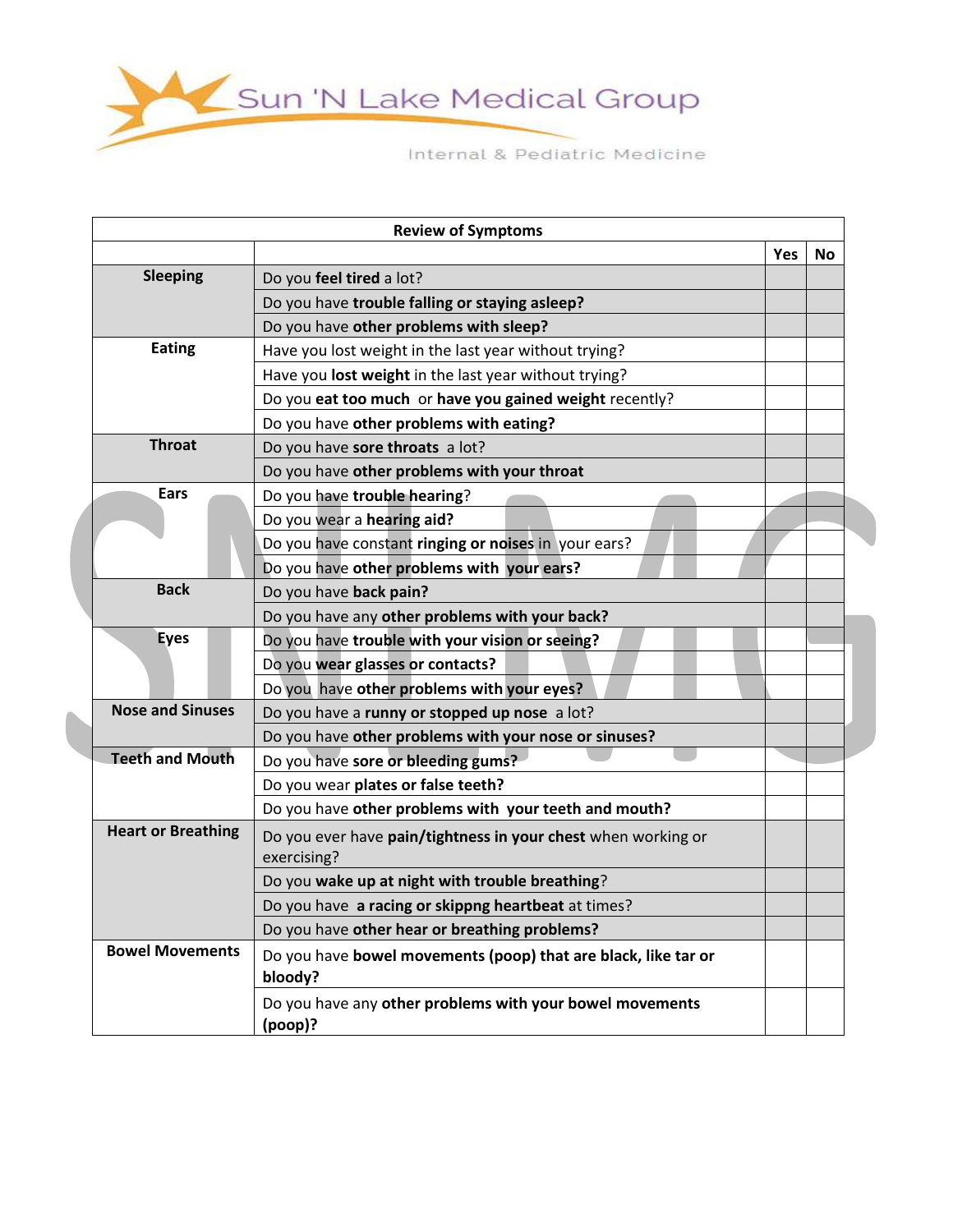

|                           | <b>Review of Symptoms</b>                                                    |            |    |
|---------------------------|------------------------------------------------------------------------------|------------|----|
|                           |                                                                              | <b>Yes</b> | No |
| <b>Sleeping</b>           | Do you feel tired a lot?                                                     |            |    |
|                           | Do you have trouble falling or staying asleep?                               |            |    |
|                           | Do you have other problems with sleep?                                       |            |    |
| <b>Eating</b>             | Have you lost weight in the last year without trying?                        |            |    |
|                           | Have you lost weight in the last year without trying?                        |            |    |
|                           | Do you eat too much or have you gained weight recently?                      |            |    |
|                           | Do you have other problems with eating?                                      |            |    |
| <b>Throat</b>             | Do you have sore throats a lot?                                              |            |    |
|                           | Do you have other problems with your throat                                  |            |    |
| Ears                      | Do you have trouble hearing?                                                 |            |    |
|                           | Do you wear a hearing aid?                                                   |            |    |
|                           | Do you have constant ringing or noises in your ears?                         |            |    |
|                           | Do you have other problems with your ears?                                   |            |    |
| <b>Back</b>               | Do you have back pain?                                                       |            |    |
|                           | Do you have any other problems with your back?                               |            |    |
| <b>Eyes</b>               | Do you have trouble with your vision or seeing?                              |            |    |
|                           | Do you wear glasses or contacts?                                             |            |    |
|                           | Do you have other problems with your eyes?                                   |            |    |
| <b>Nose and Sinuses</b>   | Do you have a runny or stopped up nose a lot?                                |            |    |
|                           | Do you have other problems with your nose or sinuses?                        |            |    |
| <b>Teeth and Mouth</b>    | Do you have sore or bleeding gums?                                           |            |    |
|                           | Do you wear plates or false teeth?                                           |            |    |
|                           | Do you have other problems with your teeth and mouth?                        |            |    |
| <b>Heart or Breathing</b> | Do you ever have pain/tightness in your chest when working or<br>exercising? |            |    |
|                           | Do you wake up at night with trouble breathing?                              |            |    |
|                           | Do you have a racing or skippng heartbeat at times?                          |            |    |
|                           | Do you have other hear or breathing problems?                                |            |    |
| <b>Bowel Movements</b>    | Do you have bowel movements (poop) that are black, like tar or               |            |    |
|                           | bloody?                                                                      |            |    |
|                           | Do you have any other problems with your bowel movements<br>(poop)?          |            |    |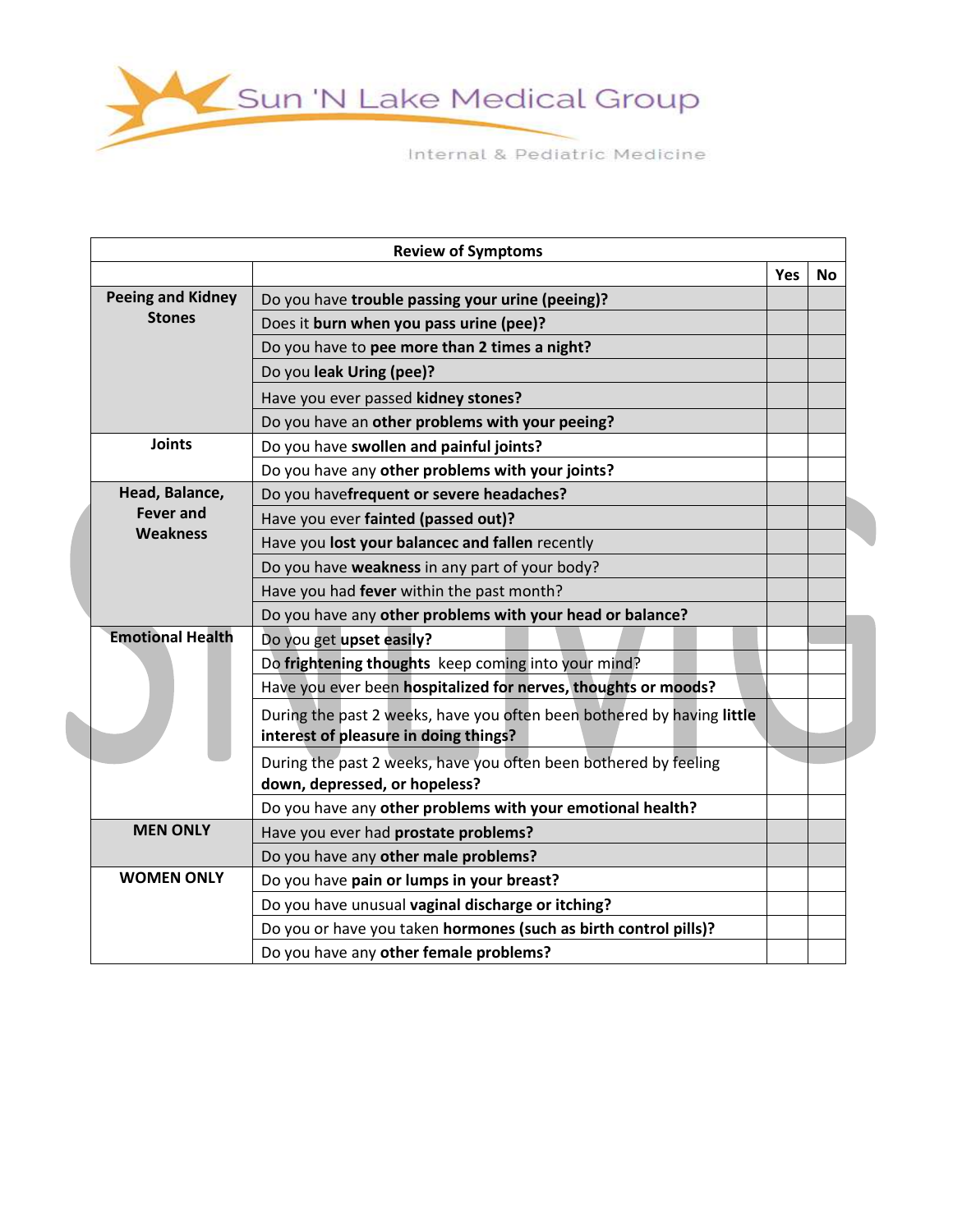

|                          | <b>Review of Symptoms</b>                                                                                       |     |    |
|--------------------------|-----------------------------------------------------------------------------------------------------------------|-----|----|
|                          |                                                                                                                 | Yes | No |
| <b>Peeing and Kidney</b> | Do you have trouble passing your urine (peeing)?                                                                |     |    |
| <b>Stones</b>            | Does it burn when you pass urine (pee)?                                                                         |     |    |
|                          | Do you have to pee more than 2 times a night?                                                                   |     |    |
|                          | Do you leak Uring (pee)?                                                                                        |     |    |
|                          | Have you ever passed kidney stones?                                                                             |     |    |
|                          | Do you have an other problems with your peeing?                                                                 |     |    |
| <b>Joints</b>            | Do you have swollen and painful joints?                                                                         |     |    |
|                          | Do you have any other problems with your joints?                                                                |     |    |
| Head, Balance,           | Do you havefrequent or severe headaches?                                                                        |     |    |
| <b>Fever and</b>         | Have you ever fainted (passed out)?                                                                             |     |    |
| <b>Weakness</b>          | Have you lost your balancec and fallen recently                                                                 |     |    |
|                          | Do you have weakness in any part of your body?                                                                  |     |    |
|                          | Have you had fever within the past month?                                                                       |     |    |
|                          | Do you have any other problems with your head or balance?                                                       |     |    |
| <b>Emotional Health</b>  | Do you get upset easily?                                                                                        |     |    |
|                          | Do frightening thoughts keep coming into your mind?                                                             |     |    |
|                          | Have you ever been hospitalized for nerves, thoughts or moods?                                                  |     |    |
|                          | During the past 2 weeks, have you often been bothered by having little<br>interest of pleasure in doing things? |     |    |
|                          | During the past 2 weeks, have you often been bothered by feeling<br>down, depressed, or hopeless?               |     |    |
|                          | Do you have any other problems with your emotional health?                                                      |     |    |
| <b>MEN ONLY</b>          | Have you ever had prostate problems?                                                                            |     |    |
|                          | Do you have any other male problems?                                                                            |     |    |
| <b>WOMEN ONLY</b>        | Do you have pain or lumps in your breast?                                                                       |     |    |
|                          | Do you have unusual vaginal discharge or itching?                                                               |     |    |
|                          | Do you or have you taken hormones (such as birth control pills)?                                                |     |    |
|                          | Do you have any other female problems?                                                                          |     |    |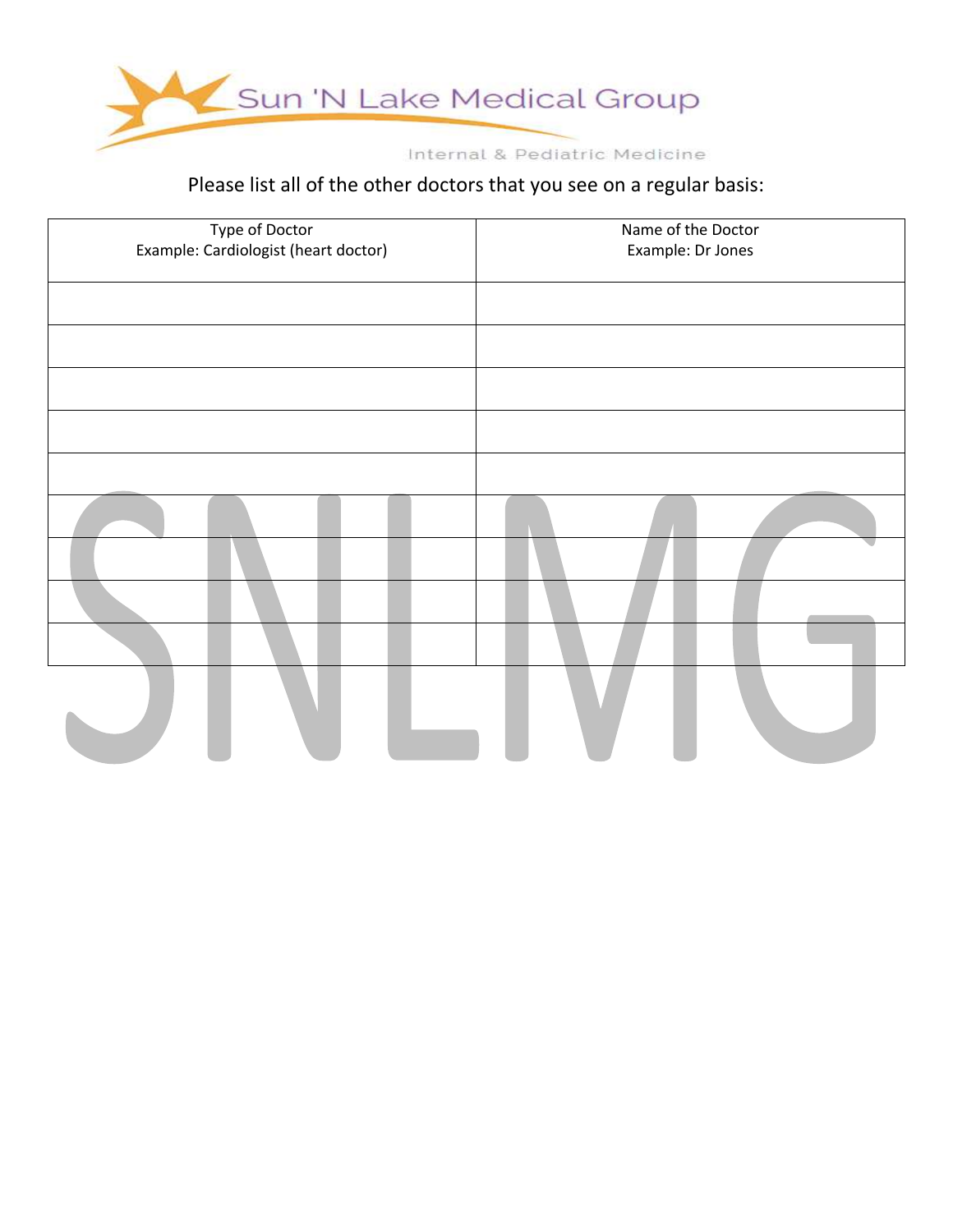

### Please list all of the other doctors that you see on a regular basis:

| Type of Doctor<br>Example: Cardiologist (heart doctor) | Name of the Doctor<br>Example: Dr Jones |  |  |  |
|--------------------------------------------------------|-----------------------------------------|--|--|--|
|                                                        |                                         |  |  |  |
|                                                        |                                         |  |  |  |
|                                                        |                                         |  |  |  |
|                                                        |                                         |  |  |  |
|                                                        |                                         |  |  |  |
|                                                        |                                         |  |  |  |
|                                                        |                                         |  |  |  |
|                                                        |                                         |  |  |  |
|                                                        |                                         |  |  |  |
|                                                        |                                         |  |  |  |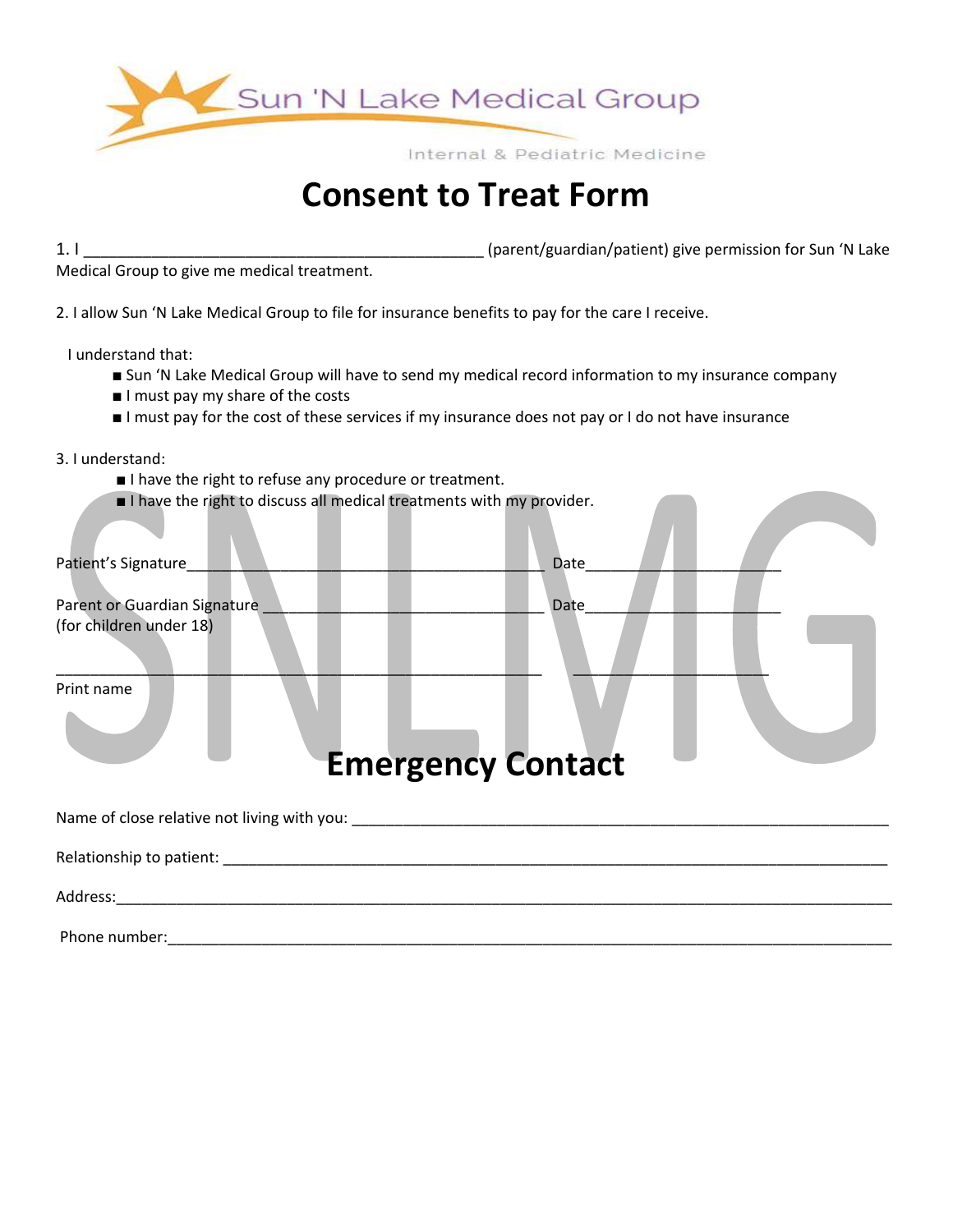

# **Consent to Treat Form**

1. I \_\_\_\_\_\_\_\_\_\_\_\_\_\_\_\_\_\_\_\_\_\_\_\_\_\_\_\_\_\_\_\_\_\_\_\_\_\_\_\_\_\_\_\_\_\_\_ (parent/guardian/patient) give permission for Sun 'N Lake

Medical Group to give me medical treatment.

2. I allow Sun 'N Lake Medical Group to file for insurance benefits to pay for the care I receive.

I understand that:

- Sun 'N Lake Medical Group will have to send my medical record information to my insurance company
- I must pay my share of the costs
- I must pay for the cost of these services if my insurance does not pay or I do not have insurance

3. I understand:

- I have the right to refuse any procedure or treatment.
- I have the right to discuss all medical treatments with my provider.

| Patient's Signature                                     | Date                     |  |
|---------------------------------------------------------|--------------------------|--|
| Parent or Guardian Signature<br>(for children under 18) | Date                     |  |
| Print name                                              | <b>Emergency Contact</b> |  |
|                                                         |                          |  |
|                                                         |                          |  |
| Address:                                                |                          |  |

Phone number:\_\_\_\_\_\_\_\_\_\_\_\_\_\_\_\_\_\_\_\_\_\_\_\_\_\_\_\_\_\_\_\_\_\_\_\_\_\_\_\_\_\_\_\_\_\_\_\_\_\_\_\_\_\_\_\_\_\_\_\_\_\_\_\_\_\_\_\_\_\_\_\_\_\_\_\_\_\_\_\_\_\_\_\_\_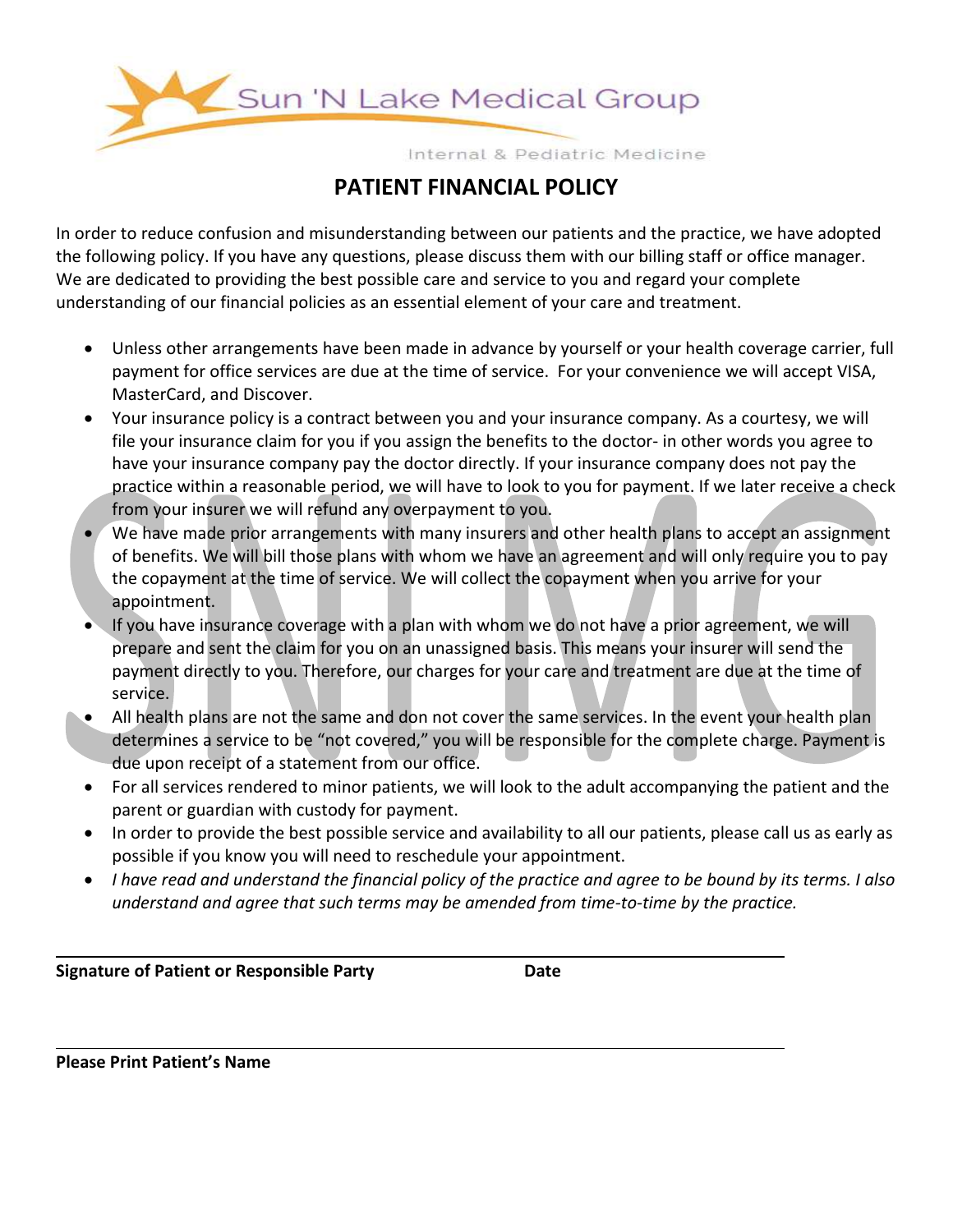

#### **PATIENT FINANCIAL POLICY**

In order to reduce confusion and misunderstanding between our patients and the practice, we have adopted the following policy. If you have any questions, please discuss them with our billing staff or office manager. We are dedicated to providing the best possible care and service to you and regard your complete understanding of our financial policies as an essential element of your care and treatment.

- Unless other arrangements have been made in advance by yourself or your health coverage carrier, full payment for office services are due at the time of service. For your convenience we will accept VISA, MasterCard, and Discover.
- Your insurance policy is a contract between you and your insurance company. As a courtesy, we will file your insurance claim for you if you assign the benefits to the doctor- in other words you agree to have your insurance company pay the doctor directly. If your insurance company does not pay the practice within a reasonable period, we will have to look to you for payment. If we later receive a check from your insurer we will refund any overpayment to you.
- We have made prior arrangements with many insurers and other health plans to accept an assignment of benefits. We will bill those plans with whom we have an agreement and will only require you to pay the copayment at the time of service. We will collect the copayment when you arrive for your appointment.
- If you have insurance coverage with a plan with whom we do not have a prior agreement, we will prepare and sent the claim for you on an unassigned basis. This means your insurer will send the payment directly to you. Therefore, our charges for your care and treatment are due at the time of service.
- All health plans are not the same and don not cover the same services. In the event your health plan determines a service to be "not covered," you will be responsible for the complete charge. Payment is due upon receipt of a statement from our office.
- For all services rendered to minor patients, we will look to the adult accompanying the patient and the parent or guardian with custody for payment.
- In order to provide the best possible service and availability to all our patients, please call us as early as possible if you know you will need to reschedule your appointment.
- *I have read and understand the financial policy of the practice and agree to be bound by its terms. I also understand and agree that such terms may be amended from time-to-time by the practice.*

**Signature of Patient or Responsible Party Date** 

**Please Print Patient's Name** 

 $\overline{a}$